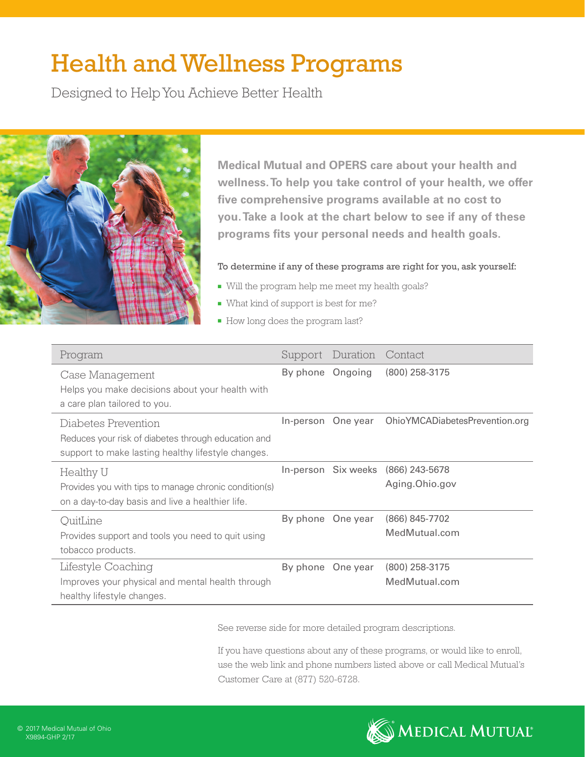# Health and Wellness Programs

Designed to Help You Achieve Better Health



**Medical Mutual and OPERS care about your health and wellness. To help you take control of your health, we offer five comprehensive programs available at no cost to you. Take a look at the chart below to see if any of these programs fits your personal needs and health goals.**

# To determine if any of these programs are right for you, ask yourself:

- <sup>n</sup> Will the program help me meet my health goals?
- What kind of support is best for me?
- How long does the program last?

| Program                                                                                                                          | Support          | Duration           | Contact                                              |
|----------------------------------------------------------------------------------------------------------------------------------|------------------|--------------------|------------------------------------------------------|
| Case Management<br>Helps you make decisions about your health with<br>a care plan tailored to you.                               | By phone Ongoing |                    | (800) 258-3175                                       |
| Diabetes Prevention<br>Reduces your risk of diabetes through education and<br>support to make lasting healthy lifestyle changes. |                  | In-person One year | OhioYMCADiabetesPrevention.org                       |
| Healthy U<br>Provides you with tips to manage chronic condition(s)<br>on a day-to-day basis and live a healthier life.           |                  |                    | In-person Six weeks (866) 243-5678<br>Aging.Ohio.gov |
| OuitLine<br>Provides support and tools you need to quit using<br>tobacco products.                                               |                  | By phone One year  | $(866) 845 - 7702$<br>MedMutual.com                  |
| Lifestyle Coaching<br>Improves your physical and mental health through<br>healthy lifestyle changes.                             |                  | By phone One year  | $(800)$ 258-3175<br>MedMutual.com                    |

See reverse side for more detailed program descriptions.

If you have questions about any of these programs, or would like to enroll, use the web link and phone numbers listed above or call Medical Mutual's Customer Care at (877) 520-6728.